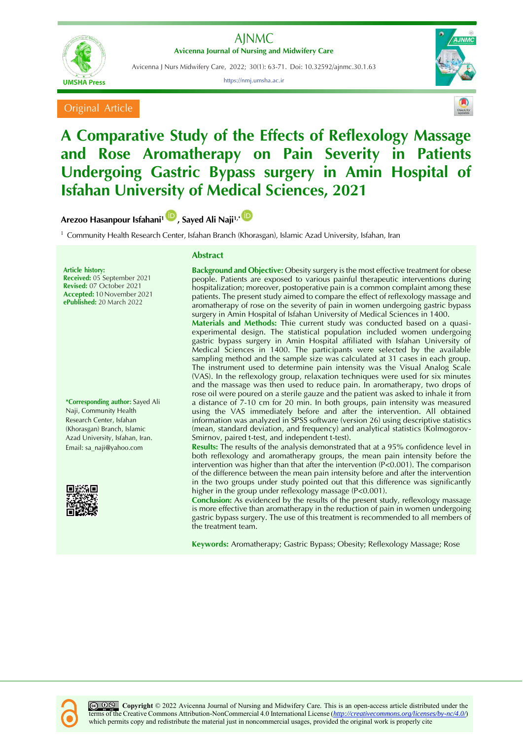

Avicenna J Nurs Midwifery Care, 2022; 30(1): 63-71. Doi: 10.32592/ajnmc.30.1.63

https://nmj.umsha.ac.ir







## **A Comparative Study of the Effects of Reflexology Massage and Rose Aromatherapy on Pain Severity in Patients Undergoing Gastric Bypass surgery in Amin Hospital of Isfahan University of Medical Sciences, 2021**

## **Arezoo Hasanpour Isfahani[1](https://orcid.org/0000-0002-9689-4672) , Sayed Ali Naji1,[\\*](https://orcid.org/0000-0001-9745-1948)**

<sup>1</sup> Community Health Research Center, Isfahan Branch (Khorasgan), Islamic Azad University, Isfahan, Iran

**Article history: Received:** 05 September 2021 **Revised:** 07 October 2021 **Accepted:** 10November 2021 **ePublished:** 20 March 2022

**\*Corresponding author:** Sayed Ali Naji, Community Health Research Center, Isfahan (Khorasgan) Branch, Islamic Azad University, Isfahan, Iran. Email[: sa\\_naji@yahoo.com](mailto:sa_naji@yahoo.com)



#### **Abstract**

**Background and Objective:** Obesity surgery is the most effective treatment for obese people. Patients are exposed to various painful therapeutic interventions during hospitalization; moreover, postoperative pain is a common complaint among these patients. The present study aimed to compare the effect of reflexology massage and aromatherapy of rose on the severity of pain in women undergoing gastric bypass surgery in Amin Hospital of Isfahan University of Medical Sciences in 1400.

**Materials and Methods:** Thie current study was conducted based on a quasiexperimental design. The statistical population included women undergoing gastric bypass surgery in Amin Hospital affiliated with Isfahan University of Medical Sciences in 1400. The participants were selected by the available sampling method and the sample size was calculated at 31 cases in each group. The instrument used to determine pain intensity was the Visual Analog Scale (VAS). In the reflexology group, relaxation techniques were used for six minutes and the massage was then used to reduce pain. In aromatherapy, two drops of rose oil were poured on a sterile gauze and the patient was asked to inhale it from a distance of 7-10 cm for 20 min. In both groups, pain intensity was measured using the VAS immediately before and after the intervention. All obtained information was analyzed in SPSS software (version 26) using descriptive statistics (mean, standard deviation, and frequency) and analytical statistics (Kolmogorov-Smirnov, paired t-test, and independent t-test).

**Results:** The results of the analysis demonstrated that at a 95% confidence level in both reflexology and aromatherapy groups, the mean pain intensity before the intervention was higher than that after the intervention (P<0.001). The comparison of the difference between the mean pain intensity before and after the intervention in the two groups under study pointed out that this difference was significantly higher in the group under reflexology massage (P<0.001).

**Conclusion:** As evidenced by the results of the present study, reflexology massage is more effective than aromatherapy in the reduction of pain in women undergoing gastric bypass surgery. The use of this treatment is recommended to all members of the treatment team.

**Keywords:** Aromatherapy; Gastric Bypass; Obesity; Reflexology Massage; Rose

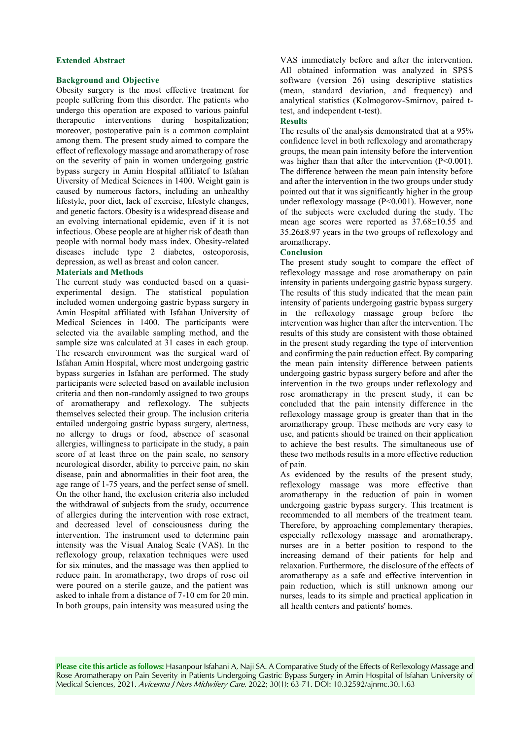#### **Extended Abstract**

#### **Background and Objective**

Obesity surgery is the most effective treatment for people suffering from this disorder. The patients who undergo this operation are exposed to various painful therapeutic interventions during hospitalization; moreover, postoperative pain is a common complaint among them. The present study aimed to compare the effect of reflexology massage and aromatherapy of rose on the severity of pain in women undergoing gastric bypass surgery in Amin Hospital affiliatef to Isfahan Uiversity of Medical Sciences in 1400. Weight gain is caused by numerous factors, including an unhealthy lifestyle, poor diet, lack of exercise, lifestyle changes, and genetic factors. Obesity is a widespread disease and an evolving international epidemic, even if it is not infectious. Obese people are at higher risk of death than people with normal body mass index. Obesity-related diseases include type 2 diabetes, osteoporosis, depression, as well as breast and colon cancer.

#### **Materials and Methods**

The current study was conducted based on a quasiexperimental design. The statistical population included women undergoing gastric bypass surgery in Amin Hospital affiliated with Isfahan University of Medical Sciences in 1400. The participants were selected via the available sampling method, and the sample size was calculated at 31 cases in each group. The research environment was the surgical ward of Isfahan Amin Hospital, where most undergoing gastric bypass surgeries in Isfahan are performed. The study participants were selected based on available inclusion criteria and then non-randomly assigned to two groups of aromatherapy and reflexology. The subjects themselves selected their group. The inclusion criteria entailed undergoing gastric bypass surgery, alertness, no allergy to drugs or food, absence of seasonal allergies, willingness to participate in the study, a pain score of at least three on the pain scale, no sensory neurological disorder, ability to perceive pain, no skin disease, pain and abnormalities in their foot area, the age range of 1-75 years, and the perfect sense of smell. On the other hand, the exclusion criteria also included the withdrawal of subjects from the study, occurrence of allergies during the intervention with rose extract, and decreased level of consciousness during the intervention. The instrument used to determine pain intensity was the Visual Analog Scale (VAS). In the reflexology group, relaxation techniques were used for six minutes, and the massage was then applied to reduce pain. In aromatherapy, two drops of rose oil were poured on a sterile gauze, and the patient was asked to inhale from a distance of 7-10 cm for 20 min. In both groups, pain intensity was measured using the VAS immediately before and after the intervention. All obtained information was analyzed in SPSS software (version 26) using descriptive statistics (mean, standard deviation, and frequency) and analytical statistics (Kolmogorov-Smirnov, paired ttest, and independent t-test).

#### **Results**

The results of the analysis demonstrated that at a 95% confidence level in both reflexology and aromatherapy groups, the mean pain intensity before the intervention was higher than that after the intervention (P<0.001). The difference between the mean pain intensity before and after the intervention in the two groups under study pointed out that it was significantly higher in the group under reflexology massage (P<0.001). However, none of the subjects were excluded during the study. The mean age scores were reported as 37.68±10.55 and 35.26±8.97 years in the two groups of reflexology and aromatherapy.

#### **Conclusion**

The present study sought to compare the effect of reflexology massage and rose aromatherapy on pain intensity in patients undergoing gastric bypass surgery. The results of this study indicated that the mean pain intensity of patients undergoing gastric bypass surgery in the reflexology massage group before the intervention was higher than after the intervention. The results of this study are consistent with those obtained in the present study regarding the type of intervention and confirming the pain reduction effect. By comparing the mean pain intensity difference between patients undergoing gastric bypass surgery before and after the intervention in the two groups under reflexology and rose aromatherapy in the present study, it can be concluded that the pain intensity difference in the reflexology massage group is greater than that in the aromatherapy group. These methods are very easy to use, and patients should be trained on their application to achieve the best results. The simultaneous use of these two methods results in a more effective reduction of pain.

As evidenced by the results of the present study, reflexology massage was more effective than aromatherapy in the reduction of pain in women undergoing gastric bypass surgery. This treatment is recommended to all members of the treatment team. Therefore, by approaching complementary therapies, especially reflexology massage and aromatherapy, nurses are in a better position to respond to the increasing demand of their patients for help and relaxation. Furthermore, the disclosure of the effects of aromatherapy as a safe and effective intervention in pain reduction, which is still unknown among our nurses, leads to its simple and practical application in all health centers and patients' homes.

**Please cite this article as follows:** Hasanpour Isfahani A, Naji SA. A Comparative Study of the Effects of Reflexology Massage and Rose Aromatherapy on Pain Severity in Patients Undergoing Gastric Bypass Surgery in Amin Hospital of Isfahan University of Medical Sciences, 2021. Avicenna J Nurs Midwifery Care. 2022; 30(1): 63-71. DOI: 10.32592/ajnmc.30.1.63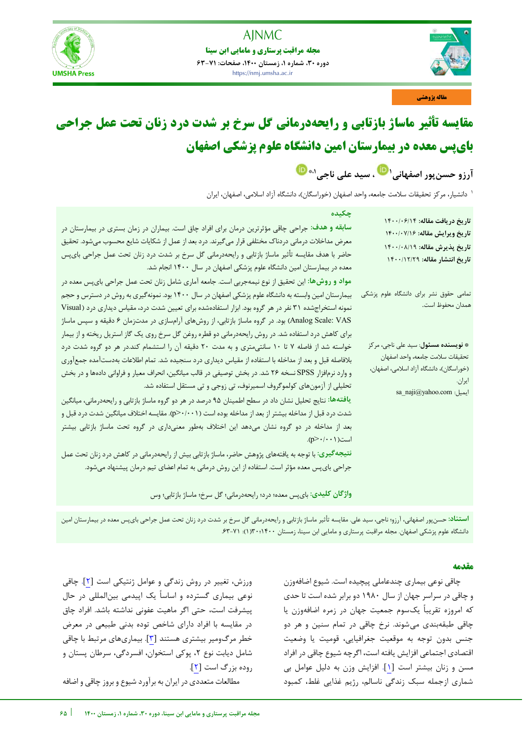## **مجله مراقبت پرستاری و مامایی ابن سینا**

**دوره ،30 شماره ،1 زمستان ،1400 صفحات: 63-71** https://nmj.umsha.ac.ir



# **مقایسه تأثیر ماساژ بازتابی و رایحهدرمانی گل سرخ بر شدت درد زنان تحت عمل جراحی بایپس معده در ب مارستانی ام نی دانشگاه علوم پزشک اصفهان ی**

**1 آرزو حسن یپور اصفهان ، سید علی ناجی [\\*](https://orcid.org/0000-0001-9745-1948)،1**

ٔ دانشیار، مرکز تحقیقات سلامت جامعه، واحد اصفهان (خوراسگان)، دانشگاه آزاد اسلامی، اصفهان، ایران

| چکیده<br>س <b>ابقه و هدف</b> : جراحی چاقی مؤثرترین درمان برای افراد چاق است. بیماران در زمان بستری در بیمارستان در<br>معرض مداخلات درمانی دردناک مختلفی قرار میگیرند. درد بعد از عمل از شکایات شایع محسوب میشود. تحقیق<br>حاضر با هدف مقایسه تأثیر ماساژ بازتابی و رایحهدرمانی گل سرخ بر شدت درد زنان تحت عمل جراحی بایپس<br>معده در بیمارستان امین دانشگاه علوم پزشکی اصفهان در سال ۱۴۰۰ انجام شد.<br>مواد و روشها: این تحقیق از نوع نیمهجربی است. جامعه آماری شامل زنان تحت عمل جراحی بایپس معده در                                                                                                                                                                                                                                                                                                                                                                                                                                                  | ناريخ دريافت مقاله: ١۴٠٠/٠۶/١۴<br>ناريخ ويرايش مقاله: ١۴٠٠/٠٧/١۶<br>ناريخ پذيرش مقاله: ١۴٠٠/٠٨/١٩<br>ناريخ انتشار مقاله: ١۴٠٠/١٢/٢٩   |
|--------------------------------------------------------------------------------------------------------------------------------------------------------------------------------------------------------------------------------------------------------------------------------------------------------------------------------------------------------------------------------------------------------------------------------------------------------------------------------------------------------------------------------------------------------------------------------------------------------------------------------------------------------------------------------------------------------------------------------------------------------------------------------------------------------------------------------------------------------------------------------------------------------------------------------------------------------|---------------------------------------------------------------------------------------------------------------------------------------|
| بیمارستان امین وابسته به دانشگاه علوم پزشکی اصفهان در سال ۱۴۰۰ بود. نمونهگیری به روش در دسترس و حجم<br>نمونه استخراجشده ۳۱ نفر در هر گروه بود. ابزار استفادهشده برای تعیین شدت درد، مقیاس دیداری درد (Visual<br>Analog Scale: VAS) بود. در گروه ماساژ بازتابی، از روشهای آرامسازی در مدتزمان ۶ دقیقه و سپس ماساژ<br>برای کاهش درد استفاده شد. در روش رایحهدرمانی دو قطره روغن گل سرخ روی یک گاز استریل ریخته و از بیمار                                                                                                                                                                                                                                                                                                                                                                                                                                                                                                                                | نمامی حقوق نشر برای دانشگاه علوم پزشکی<br>ممدان محفوظ است.                                                                            |
| خواسته شد از فاصله ۷ تا ۱۰ سانتیمتری و به مدت ۲۰ دقیقه آن را استشمام کند.در هر دو گروه شدت درد<br>بلافاصله قبل و بعد از مداخله با استفاده از مقیاس دیداری درد سنجیده شد. تمام اطلاعات بهدستآمده جمعآوری<br>و وارد نرمافزار SPSS نسخه ۲۶ شد. در بخش توصیفی در قالب میانگین، انحراف معیار و فراوانی دادهها و در بخش<br>تحلیلی از آزمونهای کولموگروف اسمیرنوف، تی زوجی و تی مستقل استفاده شد.<br>یافتهها: نتایج تحلیل نشان داد در سطح اطمینان ۹۵ درصد در هر دو گروه ماساژ بازتابی و رایحهدرمانی، میانگین<br>شدت درد قبل از مداخله بیشتر از بعد از مداخله بوده است (p>۰/۰۰۱). مقایسه اختلاف میانگین شدت درد قبل و<br>بعد از مداخله در دو گروه نشان میدهد این اختلاف بهطور معنیداری در گروه تحت ماساژ بازتابی بیشتر<br>است(۰۰۱-۰/۰).<br><b>نتیجه <i>گ</i>یری: با توجه به یافتههای پژوهش حاضر، ماساژ بازتابی بیش از رایحهدرمانی در کاهش درد زنان تحت عمل</b><br>جراحی بای پس معده مؤثر است. استفاده از این روش درمانی به تمام اعضای تیم درمان پیشنهاد میشود. | <b>* نویسنده مسئول</b> : سید علی ناجی، مرکز<br>تحقيقات سلامت جامعه، واحد اصفهان<br>(خوراسگان)، دانشگاه آزاد اسلامی، اصفهان،<br>ايران. |
| واژگان کلیدی: بایپس معده؛ درد؛ رایحهدرمانی؛ گل سرخ؛ ماساژ بازتابی؛ وس                                                                                                                                                                                                                                                                                                                                                                                                                                                                                                                                                                                                                                                                                                                                                                                                                                                                                  |                                                                                                                                       |

استن**اد**: حسنپور اصفهانی، آرزو؛ ناجی، سید علی. مقایسه تأثیر ماساژ بازتابی و رایحهدرمانی گل سرخ بر شدت در دنان تحت عمل جراحی بایپس معده در بیمارستان امین دانشگاه علوم پزشکی اصفهان. مجله مراقبت پرستاری و مامایی ابن سینا، زمستان ۱۴۰۰:۱۳۰۰(۱): ۶۳-۶۲.

#### **مقدمه**

j

 نوعیچاقی بیماری چندعاملی پیچیده است. شیوع اضافهوزن و چاقی در سراسر جهان از سال 1980 دو برابر شده است تا حدی که امروزه تقریبا یکسوم جمعیت جهان در زمره اضافهوزن یا چاقی طبقهبندی میشوند. نرخ چاقی در تمام سنین و هر دو جنس بدون توجه به موقعیت جغرافیایی، قومیت یا وضعیت اقتصادی اجتماعی افزایش یافته است، اگرچه شیوع چاقی در افراد مسن و زنان بیشتر است [1]. افزایش وزن به دلیل عوامل بی شماری ازجمله سبک زندگی ناسالم، رژیم غذایی غلط، کمبود

ورزش، تغییر در روش زندگی و عوامل ژنتیکی است [2]. چاقی نوعی بیماری گسترده و اساسا یک اپیدمی بینالمللی در حال پیشرفت است، حتی اگر ماهیت عفونی نداشته باشد. افراد چاق در مقایسه با افراد دارای شاخص توده بدنی طبیعی در معرض خطر مرگومیر بیشتری هستند [3]. بیماریهای مرتبط با چاقی شامل دیابت نوع ،2 پوکی استخوان، افسردگی، سرطان پستان و روده بزرگ است [2].

مطالعات متعددی در ایران به برآورد شیوع و بروز چاقی و اضافه



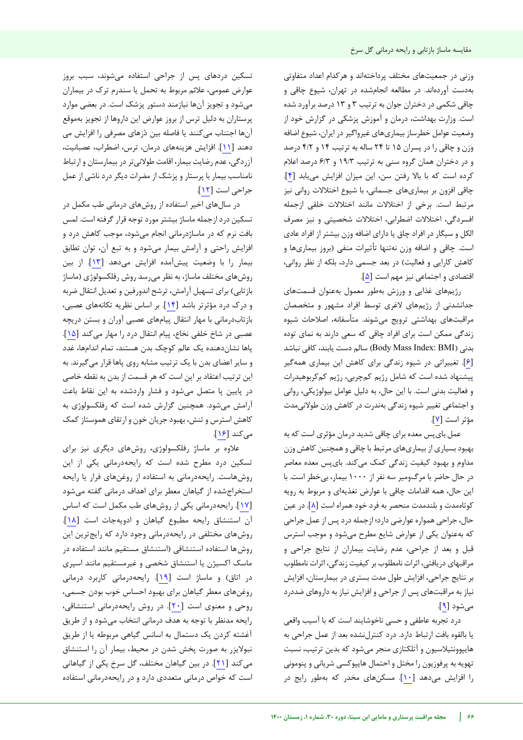وزنی در جمعیتهای مختلف پرداختهاند و هرکدام اعداد متفاوتی به دست آوردهاند. در مطالعه انجام شده در تهران، شیوع چاقی و چاقی شکمی در دختران جوان به ترتیب 3 و 13 درصد برآورد شده است. وزارت بهداشت، درمان و آموزش پزشکی در گزارش خود از وضعیت عوامل خطرساز بیماریهای غیرواگیر در ایران، شیوع اضافه وزن و چاقی را در پسران 15 تا 24 ساله به ترتیب 14 و 4/2 درصد و در دختران همان گروه سنی به ترتیب 19/3 و 6/3 درصد اعالم کرده است که با باال رفتن سن، این میزان افزایش مییابد [4]. چاقی افزون بر بیماریهای جسمانی، با شیوع اختالالت روانی نیز مرتبط است. برخی از اختالالت مانند اختالالت خلقی ازجمله افسردگی، اختالالت اضطرابی، اختالالت شخصیتی و نیز مصرف الکل و سیگار در افراد چاق یا دارای اضافه وزن بیشتر از افراد عادی است. چاقی و اضافه وزن نهتنها تأثیرات منفی )بروز بیماریها و کاهش کارایی و فعالیت) در بعد جسمی دارد، بلکه از نظر روانی، اقتصادی و اجتماعی نیز مهم است [5].

رژیمهای غذایی و ورزش بهطور معمول بهعنوان قسمتهای جدانشدنی از رژیمهای الغری توسط افراد مشهور و متخصصان مراقبتهای بهداشتی ترویج میشوند. متأسفانه، اصالحات شیوه زندگی ممکن است برای افراد چاقی که سعی دارند به نمای توده ) بدنی BMI :Index Mass Body )سالم دست یابند، کافی نباشد [۶]. تغییراتی در شیوه زندگی برای کاهش این بیماری همهگیر پیشنهاد شده است که شامل رژیم کمچربی، رژیم کمکربوهیدرات و فعالیت بدنی است. با این حال، به دلیل عوامل بیولوژیکی، روانی و اجتماعی تغییر شیوه زندگی بهندرت در کاهش وزن طوالنیمدت مؤثر است [7].

عمل بای پس معده برای چاقی شدید درمان مؤثری است که به بهبود بسیاری از بیماریهای مرتبط با چاقی و همچنین کاهش وزن مداوم و بهبود کیفیت زندگی کمک می بای کند. پس معده معاصر در حال حاضر با مرگومیر سه نفر از 1000 بیمار، بیخطر است. با این حال، همه اقدامات چاقی با عوارض تغذیهای و مربوط به رویه کوتاهمدت و بلندمدت منحصر به فرد خود همراه است [8]. در عین حال، جراحی همواره عوارضی دارد؛ ازجمله درد پس از عمل جراحی که بهعنوان یکی از عوارض شایع مطرح میشود و موجب استرس قبل و بعد از جراحی، عدم رضایت بیماران از نتایج جراحی و مراقبهای دریافتی، اثرات نامطلوب بر کیفیت زندگی، اثرات نامطلوب بر نتایج جراحی، افزایش طول مدت بستری در بیمارستان، افزایش نیاز به مراقبتهای پس از جراحی و افزایش نیاز به داروهای ضددرد میشود [9].

درد تجربه عاطفی و حسی ناخوشایند است که با آسیب واقعی یا بالقوه بافت ارتباط دارد. درد کنترلنشده بعد از عمل جراحی به هایپوونتیلاسیون و آتلکتازی منجر می شود که بدین ترتیب، نسبت تهویه به پرفوزیون را مختل و احتمال هایپوکسی شریانی و پنومونی را افزایش میدهد [10]. مسکن های مخدر که به رایج طور در

تسکین دردهای پس از جراحی استفاده می شوند، سبب بروز عوارض عمومی، علائم مربوط به تحمل یا سندرم ترک در بیماران میشود و تجویز آنها نیازمند دستور پزشک است. در بعضی موارد پرستاران به دلیل ترس از بروز عوارض این داروها از تجویز بهموقع آنها اجتناب میکنند یا فاصله بین دُزهای مصرفی را افزایش می دهند [11]. افزایش هزینههای درمان، ترس، اضطراب، عصبانیت، آزردگی، عدم رضایت بیمار، اقامت طوالنیتر در بیمارستان و ارتباط نامناسب بیمار با پرستار و پزشک از مضرات دیگر درد ناشی از عمل جراحی است [12].

در سال های اخیر استفاده از روش های درمانی طب مکمل در تسکین درد ازجمله ماساژ بیشتر مورد توجه قرار گرفته است. لمس بافت نرم که در ماساژدرمانی انجام میشود، موجب کاهش درد و افزایش راحتی و آرامش بیمار میشود و به تبع آن، توان تطابق بیمار را با وضعیت پیشآمده افزایش میدهد [13]. از بین روشهای مختلف ماساژ، به نظر میرسد روش رفلکسولوژی )ماساژ بازتابی) برای تسهیل آرامش، ترشح اندورفین و تعدیل انتقال ضربه و درک درد مؤثرتر باشد [۱۴]. بر اساس نظریه تکانههای عصبی، بازتابدرمانی با مهار انتقال پیامهای عصبی آوران و بستن دریچه عصبی در شاخ خلفی نخاع، پیام انتقال درد را مهار میکند [15]. پاها نشاندهنده یک عالم کوچک بدن هستند، تمام اندامها، غدد و سایر اعضای بدن با یک ترتیب مشابه روی پاها قرار میگیرند. به این ترتیب اعتقاد بر این است که هر قسمت از بدن به نقطه خاصی در پایین پا متصل میشود و فشار واردشده به این نقاط باعث آرامش میشود. همچنین گزارش شده است که رفلکسولوژی به کاهش استرس و تنش، بهبود جریان خون و ارتقای هموستاز کمک میکند [۱۶].

عالوه بر ماساژ رفلکسولوژی، روشهای دیگری نیز برای تسکین درد مطرح شده است که رایحهدرمانی یکی از این روشهاست. رایحه درمانی به استفاده از روغن های فرار یا رایحه استخراج شده از گیاهان معطر برای اهداف درمانی گفته می شود [١٧]. رایحه درمانی یکی از روش های طب مکمل است که اساس آن استنشاق رایحه مطبوع گیاهان و ادویهجات است [18]. روشهای مختلفی در رایحهدرمانی وجود دارد که رایجترین این روشها استفاده استنشاقی )استنشاق مستقیم مانند استفاده در ماسک اکسیژن یا استنشاق شخصی و غیرمستقیم مانند اسپری در اتاق) و ماساژ است [19]. رایحهدرمانی کاربرد درمانی روغنهای معطر گیاهان برای بهبود احساس خوب بودن جسمی، روحی و معنوی است [۲۰]. در روش رایحه درمانی استنشاقی، رایحه مدنظر با توجه به هدف درمانی انتخاب میشود و از طریق آغشته کردن یک دستمال به اسانس گیاهی مربوطه یا از طریق نبوالیزر به صورت پخش شدن در محیط، بیمار آن را استنشاق میکند [21]. در بین گیاهان مختلف، گل سرخ یکی از گیاهانی است که خواص درمانی متعددی دارد و در رایحهدرمانی استفاده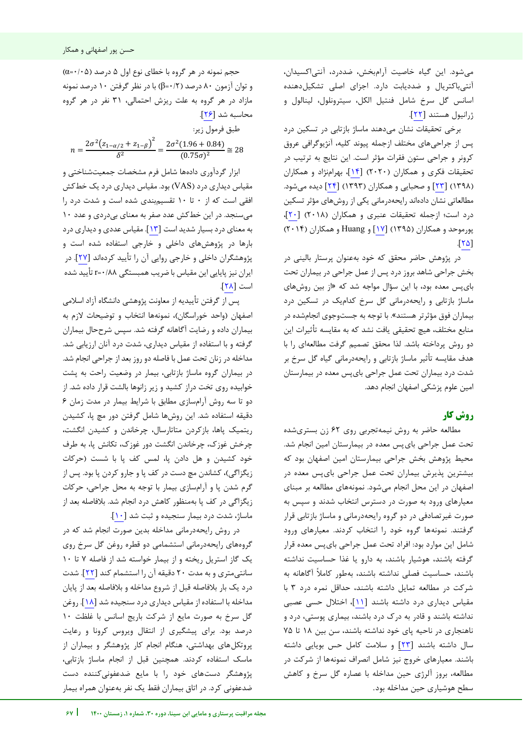می شود. این گیاه خاصیت آرامبخش، ضددرد، آنتی اکسیدان، آنتیباکتریال و ضددیابت دارد. اجزای اصلی تشکیل دهنده اسانس گل سرخ شامل فنتیل الکل، سیترونلول، لینالول و هستند ژرانیول [22].

برخی تحقیقات نشان میدهند ماساژ بازتابی در تسکین درد پس از جراحیهای مختلف ازجمله پیوند کلیه، آنژیوگرافی عروق کرونر و جراحی ستون فقرات مؤثر است. این نتایج به ترتیب در تحقیقات فکری و همکاران )2020( [14]، بهرامنژاد و همکاران (۱۳۹۸) [۲۳] و صحبایی و همکاران (۱۳۹۳) [۲۴] دیده میشود. مطالعاتی نشان دادهاند رایحهدرمانی یکی از روشهای مؤثر تسکین درد است؛ ازجمله تحقیقات عنبری و همکاران )2018( [20]، پورموحد و همکاران )1395( [17] و Huang و همکاران )2014(  $[T\Delta]$ 

در پژوهش حاضر محقق که خود بهعنوان پرستار بالینی در بخش جراحی شاهد بروز درد پس از عمل جراحی در بیماران تحت بای پس معده بود، با این سؤال مواجه شد که «از بین روشهای ماساژ بازتابی و رایحهدرمانی گل سرخ کدامیک در تسکین درد بیماران فوق مؤثرتر هستند«. با توجه به جستوجوی انجامشده در منابع مختلف، هیچ تحقیقی یافت نشد که به مقایسه تأثیرات این دو روش پرداخته باشد. لذا محقق تصمیم گرفت مطالعهای را با هدف مقایسه تأثیر ماساژ بازتابی و رایحهدرمانی گیاه گل سرخ بر شدت درد بیماران تحت عمل جراحی بایپس معده در بیمارستان امین علوم پزشکی اصفهان انجام دهد.

## **کار روش**

j

مطالعه حاضر به روش نیمه تجربی روی ۶۲ زن بستریشده تحت عمل جراحی بایپس معده در بیمارستان امین انجام شد. محیط پژوهش بخش جراحی بیمارستان امین اصفهان بود که بیشترین پذیرش بیماران تحت عمل جراحی بایپس معده در اصفهان در این محل انجام میشود. نمونههای مطالعه بر مبنای معیارهای ورود به صورت در دسترس انتخاب شدند و سپس به صورت غیرتصادفی در دو گروه رایحهدرمانی و ماساژ بازتابی قرار گرفتند. نمونهها گروه خود را انتخاب کردند. معیارهای ورود شامل این موارد بود: افراد تحت عمل جراحی بایپس معده قرار گرفته باشند، هوشیار باشند، به دارو یا غذا حساسیت نداشته باشند، حساسیت فصلی نداشته باشند، به طور کامال آگاهانه به شرکت در مطالعه تمایل داشته باشند، حداقل نمره درد 3 با مقیاس دیداری درد داشته باشند [11]، اختالل حسی عصبی نداشته باشند و قادر به درک درد باشند، بیماری پوستی، درد و ناهنجاری در ناحیه پای خود نداشته باشند، سن بین 18 تا 75 سال داشته باشند [23] و سالمت کامل حس بویایی داشته باشند. معیارهای خروج نیز شامل انصراف نمونهها از شرکت در مطالعه، بروز آلرژی حین مداخله با عصاره گل سرخ و کاهش سطح هوشیاری حین مداخله بود.

حجم نمونه در هر گروه با خطای نوع اول 5 درصد )0/05=α ) و توان آزمون 80 درصد )0/2=β )با در نظر گرفتن 10 درصد نمونه مازاد در هر گروه به علت ریزش احتمالی، 31 نفر در هر گروه محاسبه شد [26].

طبق فرمول زیر:  $n = \frac{2\sigma^2 (z_{1-\alpha/2} + z_{1-\beta})^2}{2}$  $\frac{\delta^2}{\delta^2} =$  $\frac{2\sigma^2(1.96 + 0.84)}{(0.75\sigma)^2} \approx 28$ 

ابزار گردآوری دادهها شامل فرم مشخصات جمعیتشناختی و مقیاس دیداری درد )VAS )بود. مقیاس دیداری درد یک خطکش افقی است که از 0 تا 10 تقسیمبندی شده است و شدت درد را میسنجد. در این خطکش عدد صفر به معنای بیدردی و عدد 10 به معنای درد بسیار شدید است [13]. مقیاس عددی و دیداری درد بارها در پژوهشهای داخلی و خارجی استفاده شده است و پژوهشگران داخلی و خارجی روایی آن را تأیید کردهاند [27]. در ایران نیز پایایی این مقیاس با ضریب همبستگی 0/88=r تأیید شده است [28].

پس از گرفتن تأییدیه از معاونت پژوهشی دانشگاه آزاد اسلامی اصفهان (واحد خوراسگان)، نمونهها انتخاب و توضیحات لازم به بیماران داده و رضایت آگاهانه گرفته شد. سپس شرححال بیماران گرفته و با استفاده از مقیاس دیداری، شدت درد آنان ارزیابی شد. مداخله در زنان تحت عمل با فاصله دو روز بعد از جراحی انجام شد. در بیماران گروه ماساژ بازتابی، بیمار در پشت راحت به وضعیت خوابیده روی تخت دراز کشید و زیر زانوها بالشت قرار داده شد. از دو تا سه روش آرامسازی مطابق با شرایط بیمار در مدت زمان ۶ دقیقه استفاده شد. این روشها شامل گرفتن دور مچ پا، کشیدن ریتمیک پاها، بازکردن متاتارسال، چرخاندن و کشیدن انگشت، چرخش غوزک، چرخاندن انگشت دور غوزک، تکانش پا، به طرف خود کشیدن و هل دادن پا، لمس کف پا با شست )حرکات زیگزاگی)، کشاندن مچ دست در کف پا و جارو کردن پا بود. پس از گرم شدن پا و آرامسازی بیمار با توجه به محل جراحی، حرکات زیگزاگی در کف پا بهمنظور کاهش درد انجام شد. بالفاصله بعد از ماساژ، شدت درد بیمار سنجیده و ثبت شد [10].

در روش رایحهدرمانی مداخله بدین صورت انجام شد که در گروههای رایحهدرمانی استشمامی دو قطره روغن گل سرخ روی یک گاز استریل ریخته و از بیمار خواسته شد از فاصله 7 تا 10 سانتیمتری و به مدت 20 دقیقه آن را استشمام کند [22] . شدت درد یک بار بالفاصله قبل از شروع مداخله و بالفاصله بعد از پایان مداخله با استفاده از مقیاس دیداری درد سنجیده شد [18]. روغن گل سرخ به صورت مایع از شرکت باریج اسانس با غلظت 10 درصد بود. برای پیشگیری از انتقال ویروس کرونا و رعایت پروتکلهای بهداشتی، هنگام انجام کار پژوهشگر و بیماران از ماسک استفاده کردند. همچنین قبل از انجام ماساژ بازتابی، پژوهشگر دستهای خود را با مایع ضدعفونیکننده دست ضدعفونی کرد. در اتاق بیماران فقط یک نفر بهعنوان همراه بیمار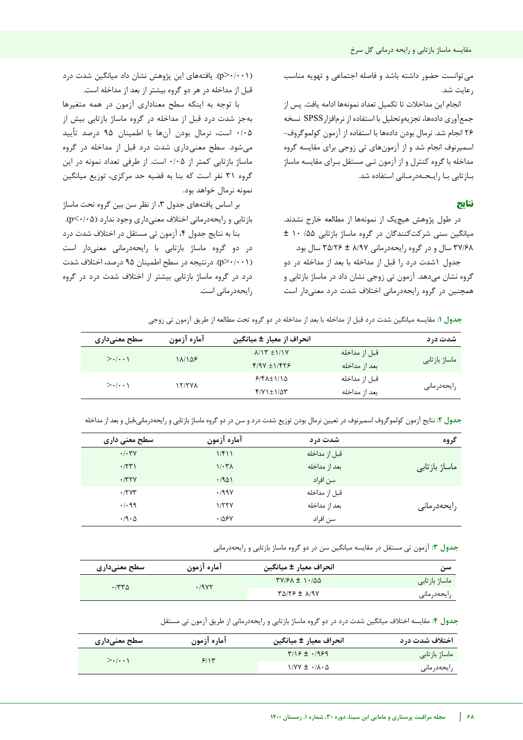مقایسه ماساژ بازتابی و رایحه درمانی گل سرخ

میتوانست حضور داشته باشد و فاصله اجتماعی و تهویه مناسب رعایت شد.

انجام این مداخلات تا تکمیل تعداد نمونهها ادامه یافت. پس از جمع آوری دادهها، تجزیهوتحلیل با استفاده از نرمافزار SPSS نسخه 26 انجام شد. نرمال بودن دادهها با استفاده از آزمون کولموگروف- اسمیرنوف انجام شد و از آزمونهای تی زوجی برای مقایسه گروه مداخله با گروه کنترل و از آزمون تـی مستقل بـرای مقایسه ماساژ بـازتابی بـا رایـحـهدرمـانی استفاده شد.

#### **نتایج**

در طول پژوهش هیچیک از نمونهها از مطالعه خارج نشدند. میانگین سنی شرکت کنندگان در گروه ماساژ بازتابی /55 10 ± 37/68 سال و در گروه رایحهدرمانی 8/97 ± 35/26 سال بود.

جدول 1شدت درد را قبل از مداخله با بعد از مداخله در دو گروه نشان میدهد. آزمون تی زوجی نشان داد در ماساژ بازتابی و همچنین در گروه رایحهدرمانی اختالف شدت درد معنیدار است

)0/001<p). یافتههای این پژوهش نشان داد میانگین شدت درد قبل از مداخله در هر دو گروه بیشتر از بعد از مداخله است.

با توجه به اینکه سطح معناداری آزمون در همه متغیرها بهجز شدت درد قبل از مداخله در گروه ماساژ بازتابی بیش از 0/05 است، نرمال بودن آنها با اطمینان 95 درصد تأیید میشود. سطح معنیداری شدت درد قبل از مداخله در گروه ماساژ بازتابی کمتر از 0/05 است. از طرفی تعداد نمونه در این گروه 31 نفر است که بنا به قضیه حد مرکزی، توزیع میانگین نمونه نرمال خواهد بود.

بر اساس یافتههای جدول ۳، از نظر سن بین گروه تحت ماساژ بازتابی و رایحهدرمانی اختالف معنیداری وجود ندارد )0/05>p).

بنا به نتایج جدول ،4 آزمون تی مستقل در اختالف شدت درد در دو گروه ماساژ بازتابی با رایحهدرمانی معنیدار است )0/001<p). درنتیجه در سطح اطمینان 95 درصد، اختالف شدت درد در گروه ماساژ بازتابی بیشتر از اختالف شدت درد در گروه رایحهدرمانی است.

 **جدول :1** مقایسه میانگین شدت درد قبل از مداخله با بعد از مداخله در دو گروه تحت مطالعه از طریق آزمون تی زوجی

| سطح معنیداری          | آماره آزمون | انحراف از معیار ± میانگین  |               | شدت در د      |
|-----------------------|-------------|----------------------------|---------------|---------------|
| $> \cdot \cdot \cdot$ | 11/108      | $\lambda/17 \pm 1/1V$      | قبل از مداخله |               |
|                       |             | $Y/9V \pm 1/9Y$            | بعد از مداخله | ماساژ بازتابی |
| $>\cdot$ / $\cdot$ \  | 17/77A      | $9/8$ $\pm$ $1/1$ $\Delta$ | قبل از مداخله |               |
|                       |             | $f/Y$ $\pm$ $1/\Delta$ r   | بعد از مداخله | رايحەدرمانى   |

**جدول :2** نتایج آزمون کولموگروف اسمیرنوف در تعیین نرمال بودن توزیع شدت درد و سن در دو گروه ماساژ بازتابی و رایحهدرمانی،قبل و بعد از مداخله

| گروه          | شدت در د      | آماره آزمون        | سطح معنی داری                              |
|---------------|---------------|--------------------|--------------------------------------------|
|               | قبل از مداخله | 1/f11              | .4.7V                                      |
| ماساژ بازتابی | بعد از مداخله | $1/\cdot 7\lambda$ | $\cdot$ /٢٣)                               |
|               | سن افراد      | .7901              | $\cdot$ $\uparrow\uparrow\uparrow\uparrow$ |
|               | قبل از مداخله | .199Y              | $\cdot$ /۲۷۳                               |
| رايحەدرمانى   | بعد از مداخله | 1/۲۲۷              | .499                                       |
|               | سن افراد      | .105Y              | $\cdot$ /9 $\cdot$ $\Delta$                |

 **جدول :3** آزمون تی مستقل در مقایسه میانگین سن در دو گروه ماساژ بازتابی و رایحهدرمانی

| سطح معنیداری | آماره آزمون | انحراف معيار ± ميانگين        | سن            |
|--------------|-------------|-------------------------------|---------------|
| ۰/۳۳۵        | ۰/۹۷۲       | $TY/FA \pm 1.400$             | ماساژ بازتابی |
|              |             | $Y\Delta/Y$ $\neq$ $\Delta/Y$ | رايحەدر مانى  |

 **جدول :4** مقایسه اختالف میانگین شدت درد در دو گروه ماساژ بازتابی و رایحهدرمانی از طریق آزمون تی مستقل

| سطح معنیداری | آماره آزمون | انحراف معيار ± ميانگين                  | اختلاف شدت در د |
|--------------|-------------|-----------------------------------------|-----------------|
| >>           | 5/15        | $7/19 \pm .1999$                        | ماساژ بازتابی   |
|              |             | $1/YY \pm \cdot / \lambda \cdot \Delta$ | رايحەدرمانى     |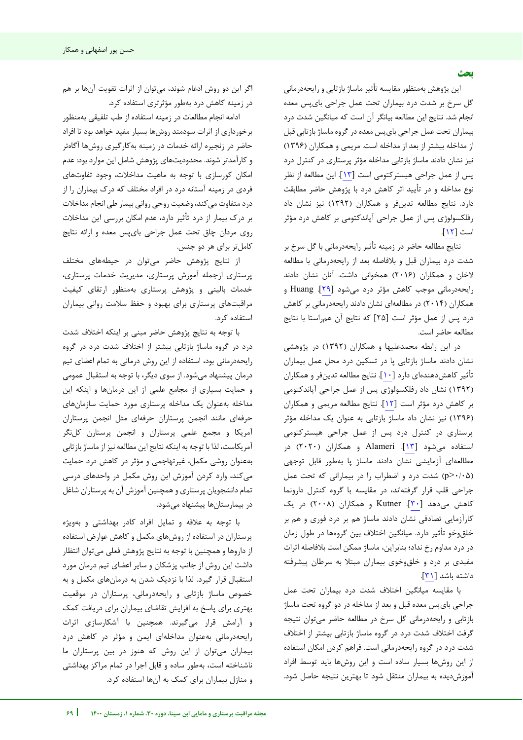این پژوهش بهمنظور مقایسه تأثیر ماساژ بازتابی و رایحهدرمانی گل سرخ بر شدت درد بیماران تحت عمل جراحی بای پس معده انجام شد. نتایج این مطالعه بیانگر آن است که میانگین شدت درد بیماران تحت عمل جراحی بایپس معده در گروه ماساژ بازتابی بل ق از مداخله بیشتر از بعد از مداخله است. مریمی و همکاران (۱۳۹۶) نیز نشان دادند ماساژ بازتابی مداخله مؤثر پرستاری در کنترل درد پس از عمل جراحی هیسترکتومی است [13]. این مطالعه از نظر نوع مداخله و در تأیید اثر کاهش درد با پژوهش حاضر مطابقت دارد. نتایج مطالعه تدینفر و همکاران )1392( نیز نشان داد رفلکسولوژی پس از عمل جراحی آپاندکتومی بر کاهش درد مؤثر است [12].

نتایج مطالعه حاضر در زمینه تأثیر رایحه درمانی با گل سرخ بر شدت درد بیماران قبل و بالفاصله بعد از رایحهدرمانی با مطالعه الخان و همکاران )2016( همخوانی داشت. آنان نشان دادند رایحهدرمانی موجب کاهش مؤثر درد میشود [29] . Huang و همکاران )2014( در مطالعهای نشان دادند رایحهدرمانی بر کاهش درد پس از عمل مؤثر است [25] که نتایج آن همراستا با نتایج مطالعه حاضر است.

در این رابطه محمدعلیها و همکاران )1392( در پژوهشی نشان دادند ماساژ بازتابی پا در تسکین درد محل عمل بیماران تأثیر کاهشدهندهای دارد [10]. نتایج مطالعه تدینفر و همکاران )1392( نشان داد رفلکسولوژی پس از عمل جراحی آپاندکتومی بر کاهش درد مؤثر است [[12](#page-7-0)]. نتایج مطالعه مریمی و همکاران )1396( نیز نشان داد ماساژ بازتابی به عنوان یک مداخله مؤثر پرستاری در کنترل درد پس از عمل جراحی هیسترکتومی استفاده میشود [13]. Alameri و همکاران )2020( در مطالعهای آزمایشی نشان دادند ماساژ پا بهطور قابل توجهی )0/05<p )شدت درد و اضطراب را در بیمارانی که تحت عمل جراحی قلب قرار گرفتهاند، در مقایسه با گروه کنترل دارونما کاهش میدهد [30]. Kutner و همکاران )2008( در یک کارآزمایی تصادفی نشان دادند ماساژ هم بر درد فوری و هم بر خلقوخو تأثیر دارد. میانگین اختالف بین گروهها در طول زمان در درد مداوم رخ نداد؛ بنابراین، ماساژ ممکن است بالفاصله اثرات مفیدی بر درد و خلقوخوی بیماران مبتال به سرطان پیشرفته داشته باشد [31].

با مقایسه میانگین اختلاف شدت درد بیماران تحت عمل جراحی بای پس معده قبل و بعد از مداخله در دو گروه تحت ماساژ بازتابی و رایحهدرمانی گل سرخ در مطالعه حاضر میتوان نتیجه گرفت اختلاف شدت درد در گروه ماساژ بازتابی بیشتر از اختلاف شدت درد در گروه رایحهدرمانی است. فراهم کردن امکان استفاده از این روشها بسیار ساده است و این روشها باید توسط افراد آموزش دیده به بیماران منتقل شود تا بهترین نتیجه حاصل شود.

j

اگر این دو روش ادغام شوند، میتوان از اثرات تقویت آنها بر هم در زمینه کاهش درد به طور مؤثرتری استفاده کرد.

ادامه انجام مطالعات در زمینه استفاده از طب تلفیقی بهمنظور برخورداری از اثرات سودمند روشها بسیار مفید خواهد بود تا افراد حاضر در زنجیره ارائه خدمات در زمینه به کارگیری روشها آگاهتر و کارآمدتر شوند. محدودیتهای پژوهش شامل این موارد بود: عدم امکان کورسازی با توجه به ماهیت مداخالت، وجود تفاوتهای فردی در زمینه آستانه درد در افراد مختلف که درک بیماران را از درد متفاوت میکند، وضعیت روحی روانی بیمار طی انجام مداخالت بر درک بیمار از درد تأثیر دارد، عدم امکان بررسی این مداخلات روی مردان چاق تحت عمل جراحی بایپس معده و ارائه نتایج کامل تر برای هر دو جنس.

از نتایج پژوهش حاضر میتوان در حیطههای مختلف پرستاری ازجمله آموزش پرستاری، مدیریت خدمات پرستاری، خدمات بالینی و پژوهش پرستاری بهمنظور ارتقای کیفیت مراقبتهای پرستاری برای بهبود و حفظ سلامت روانی بیماران .استفاده کرد

با توجه به نتایج پژوهش حاضر مبنی بر اینکه اختالف شدت درد در گروه ماساژ بازتابی بیشتر از اختلاف شدت درد در گروه رایحه درمانی بود، استفاده از این روش درمانی به تمام اعضای تیم درمان پیشنهاد میشود. از سوی دیگر، با توجه به استقبال عمومی و حمایت بسیاری از مجامع علمی از این درمانها و اینکه این مداخله به عنوان یک مداخله پرستاری مورد حمایت سازمان های حرفهای مانند انجمن پرستاران حرفهای مثل انجمن پرستاران آمریکا یو مجمع علم پرستاران و انجمن پرستارن کلنگر آمریکاست، لذا با توجه به اینکه نتایج این مطالعه نیز از ماساژ باز تابی به عنوان روشی مکمل، غیرتهاجمی و مؤثر در کاهش درد حمایت میکند، وارد کردن آموزش این روش مکمل در واحدهای درسی تمام دانشجویان پرستاری و همچنین آموزش آن به پرستاران شاغل در بیمارستانها پیشنهاد میشود.

با توجه به علاقه و تمایل افراد کادر بهداشتی و بهویژه پرستاران در استفاده از روش کاهش های مکمل و عوارض استفاده از داروها و همچنین با توجه به نتایج پژوهش فعلی می توان انتظار داشت این روش از جانب پزشکان و سایر اعضای تیم درمان مورد استقبال قرار گیرد. لذا با نزدیک شدن به درمانهای مکمل و به خصوص ماساژ بازتابی و رایحهدرمانی، پرستاران در موقعیت بهتری برای پاسخ به افزایش تقاضای بیماران برای دریافت کمک و آرامش قرار میگیرند. همچنین با آشکارسازی اثرات رایحه درمانی به عنوان مداخلهای ایمن و مؤثر در کاهش درد بیماران می توان از این روش که هنوز در بین پرستاران ما ناشناخته است، بهطور ساده و قابل اجرا در تمام مراکز بهداشتی و منازل بیماران برای کمک به آنها استفاده کرد.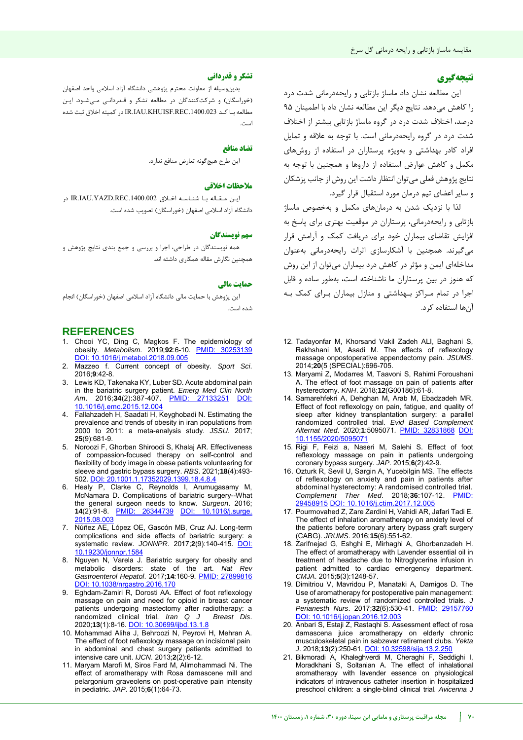### **نتیجهگیری**

این مطالعه نشان داد ماساژ بازتابی و رایحهدرمانی شدت درد را کاهش میدهد. نتایج دیگر این مطالعه نشان داد با اطمینان 95 درصد، اختالف شدت درد در گروه ماساژ بازتابی بیشتر از اختالف شدت درد در گروه رایحهدرمانی است. با توجه به عالقه و تمایل افراد کادر بهداشتی و بهویژه پرستاران در استفاده از روشهای مکمل و کاهش عوارض استفاده از داروها و همچنین با توجه به نتایج پژوهش فعلی میتوان انتظار داشت این روش از جانب پزشکان و سایر اعضای تیم درمان مورد استقبال قرار گیرد.

.<br>لذا با نزدیک شدن به درمانهای مکمل و بهخصوص ماساژ بازتابی و رایحهدرمانی، پرستاران در موقعیت بهتری برای پاسخ به افزایش تقاضای بیماران خود برای دریافت کمک و آرامش قرار می گیرند. همچنین با آشکارسازی اثرات رایحهدرمانی بهعنوان مداخلهای ایمن و مؤثر در کاهش درد بیماران می توان از این روش که هنوز در بین پرستاران ما ناشناخته است، بهطور ساده و قابل اجرا در تمام مـراکز بـهداشتى و منازل بيماران بـراى كمک بـه آن ها استفاده کرد.

- <span id="page-7-0"></span>12. Tadayonfar M, Khorsand Vakil Zadeh ALI, Baghani S, Rakhshani M, Asadi M. The effects of reflexology massage onpostoperative appendectomy pain. *JSUMS*. 2014;**20**(5 (SPECIAL):696-705.
- 13. Maryami Z, Modarres M, Taavoni S, Rahimi Foroushani A. The effect of foot massage on pain of patients after hysterectomy. *KNH*. 2018;**12**(G00186):61-8.
- 14. Samarehfekri A, Dehghan M, Arab M, Ebadzadeh MR. Effect of foot reflexology on pain, fatigue, and quality of sleep after kidney transplantation surgery: a parallel randomized controlled trial. *Evid Based Complement Alternat Med*. 2020;**1**:5095071. [PMID: 32831868](https://pubmed.ncbi.nlm.nih.gov/32831868/#:~:text=No%20significant%20difference%20was%20found,of%20patients%20after%20kidney%20transplantation.) [DOI:](https://doi.org/10.1155/2020/5095071)  [10.1155/2020/5095071](https://doi.org/10.1155/2020/5095071)
- 15. Rigi F, Feizi a, Naseri M, Salehi S. Effect of foot reflexology massage on pain in patients undergoing coronary bypass surgery. *JAP*. 2015;**6**(2):42-9.
- 16. Ozturk R, Sevil U, Sargin A, Yucebilgin MS. The effects of reflexology on anxiety and pain in patients after abdominal hysterectomy: A randomised controlled trial. *Complement Ther Med*. 2018;**36**:107-12. [PMID:](https://pubmed.ncbi.nlm.nih.gov/29458915/)  [29458915](https://pubmed.ncbi.nlm.nih.gov/29458915/) [DOI: 10.1016/j.ctim.2017.12.005](https://doi.org/10.1016/j.ctim.2017.12.005)
- 17. Pourmovahed Z, Zare Zardini H, Vahidi AR, Jafari Tadi E. The effect of inhalation aromatherapy on anxiety level of the patients before coronary artery bypass graft surgery (CABG). *JRUMS*. 2016;**15**(6):551-62.
- 18. Zarifnejad G, Eshghi E, Mirhaghi A, Ghorbanzadeh H. The effect of aromatherapy with Lavender essential oil in treatment of headache due to Nitroglycerine infusion in patient admitted to cardiac emergency department. *CMJA*. 2015;**5**(3):1248-57.
- 19. Dimitriou V, Mavridou P, Manataki A, Damigos D. The Use of aromatherapy for postoperative pain management: a systematic review of randomized controlled trials. *J Perianesth Nurs*. 2017;**32**(6):530-41. [PMID: 29157760](https://pubmed.ncbi.nlm.nih.gov/29157760/) [DOI: 10.1016/j.jopan.2016.12.003](https://doi.org/10.1016/j.jopan.2016.12.003)
- 20. Anbari S, Estaji Z, Rastaqhi S. Assessment effect of rosa damascena juice aromatherapy on elderly chronic musculoskeletal pain in sabzevar retirement clubs. *Yekta J*. 2018;**13**(2):250-61. [DOI: 10.32598/sija.13.2.250](http://dx.doi.org/10.32598/sija.13.2.250)
- 21. Bikmoradi A, Khaleghverdi M, Cheraghi F, Seddighi I, Moradkhani S, Soltanian A. The effect of inhalational aromatherapy with lavender essence on physiological indicators of intravenous catheter insertion in hospitalized preschool children: a single-blind clinical trial. *Avicenna J*

#### **تشکر و قدردانی**

دینب وسیله از معاونت محترم پژوهشی دانشگاه آزاد اسالمی واحد اصفهان (خوراسگان) و شرکتکنندگان در مطالعه تشکر و قـدردانـی مـی شـود. ایـن مطالعه بـا کـد .1400.023REC.KHUISF.IAU.IR در کمیته اخالق ثبت شده است.

#### **منافع تضاد**

این طرح هیچگونه تعارض منافع ندارد.

#### **یاخالق مالحظات**

این مـقـاله بـا شنـاسـه اخـلاق IR.IAU.YAZD.REC.1400.002 دانشگاه آزاد اسالمی اصفهان )خوراسگان( تصویب شده است.

#### **سهم نو سندگانی**

همه نویسندگان در طراحی، اجرا و بررسی و جمع بندی نتایج پژوهش و همچنین نگارش مقاله همکاری داشته اند.

#### **حمایت مالی**

این پژوهش با حمایت مالی دانشگاه آزاد اسلامی اصفهان (خوراسگان) انجام شده است.

#### **REFERENCES**

- 1. Chooi YC, Ding C, Magkos F. The epidemiology of obesity. *Metabolism*. 2019;**92**:6-10. [PMID: 30253139](https://pubmed.ncbi.nlm.nih.gov/30253139/) [DOI: 10.1016/j.metabol.2018.09.005](https://doi.org/10.1016/j.metabol.2018.09.005)
- 2. Mazzeo f. Current concept of obesity. *Sport Sci*. 2016;**9**:42-8.
- 3. Lewis KD, Takenaka KY, Luber SD. Acute abdominal pain in the bariatric surgery patient. *Emerg Med Clin North Am*. 2016;**34**(2):387-407. [PMID: 27133251](https://pubmed.ncbi.nlm.nih.gov/27133251/) [DOI:](https://doi.org/10.1016/j.emc.2015.12.004)  [10.1016/j.emc.2015.12.004](https://doi.org/10.1016/j.emc.2015.12.004)
- 4. Fallahzadeh H, Saadati H, Keyghobadi N. Estimating the prevalence and trends of obesity in iran populations from 2000 to 2011: a meta-analysis study. *JSSU*. 2017; **25**(9):681-9.
- 5. Noroozi F, Ghorban Shiroodi S, Khalaj AR. Effectiveness of compassion-focused therapy on self-control and flexibility of body image in obese patients volunteering for sleeve and gastric bypass surgery. *RBS*. 2021;**18**(4):493- 502. [DOI: 20.1001.1.17352029.1399.18.4.8.4](http://dorl.net/dor/20.1001.1.17352029.1399.18.4.8.4)
- 6. Healy P, Clarke C, Reynolds I, Arumugasamy M, McNamara D. Complications of bariatric surgery--What the general surgeon needs to know. *Surgeon*. 2016; **14**(2):91-8. [PMID: 26344739](https://pubmed.ncbi.nlm.nih.gov/26344739/) [DOI: 10.1016/j.surge.](https://doi.org/10.1016/j.surge.2015.08.003)  [2015.08.003](https://doi.org/10.1016/j.surge.2015.08.003)
- 7. Núñez AE, López OE, Gascón MB, Cruz AJ. Long-term complications and side effects of bariatric surgery: a systematic review. *JONNPR*. 2017;**2**(9):140-415. [DOI:](file:///E:/graphic/صفحه%20آرایی/Downloads/pdf1584.pdf)  [10.19230/jonnpr.1584](file:///E:/graphic/صفحه%20آرایی/Downloads/pdf1584.pdf)
- 8. Nguyen N, Varela J. Bariatric surgery for obesity and metabolic disorders: state of the art. *Nat Rev Gastroenterol Hepatol*. 2017;**14**:160-9. [PMID: 27899816](https://pubmed.ncbi.nlm.nih.gov/27899816/) [DOI: 10.1038/nrgastro.2016.170](https://doi.org/10.1038/nrgastro.2016.170)
- 9. Eghdam-Zamiri R, Dorosti AA. Effect of foot reflexology massage on pain and need for opioid in breast cancer patients undergoing mastectomy after radiotherapy: a randomized clinical trial. *Iran* Q J Breast Dis. randomized clinical trial. *Iran Q J Breast Dis*. 2020;**13**(1):8-16. [DOI: 10.30699/ijbd.13.1.8](http://dx.doi.org/10.30699/ijbd.13.1.8)
- 10. Mohammad Aliha J, Behroozi N, Peyrovi H, Mehran A. The effect of foot reflexology massage on incisional pain in abdominal and chest surgery patients admitted to intensive care unit. *IJCN*. 2013;**2**(2):6-12.
- 11. Maryam Marofi M, Siros Fard M, Alimohammadi Ni. The effect of aromatherapy with Rosa damascene mill and pelargonium graveolens on post-operative pain intensity in pediatric. *JAP*. 2015;**6**(1):64-73.